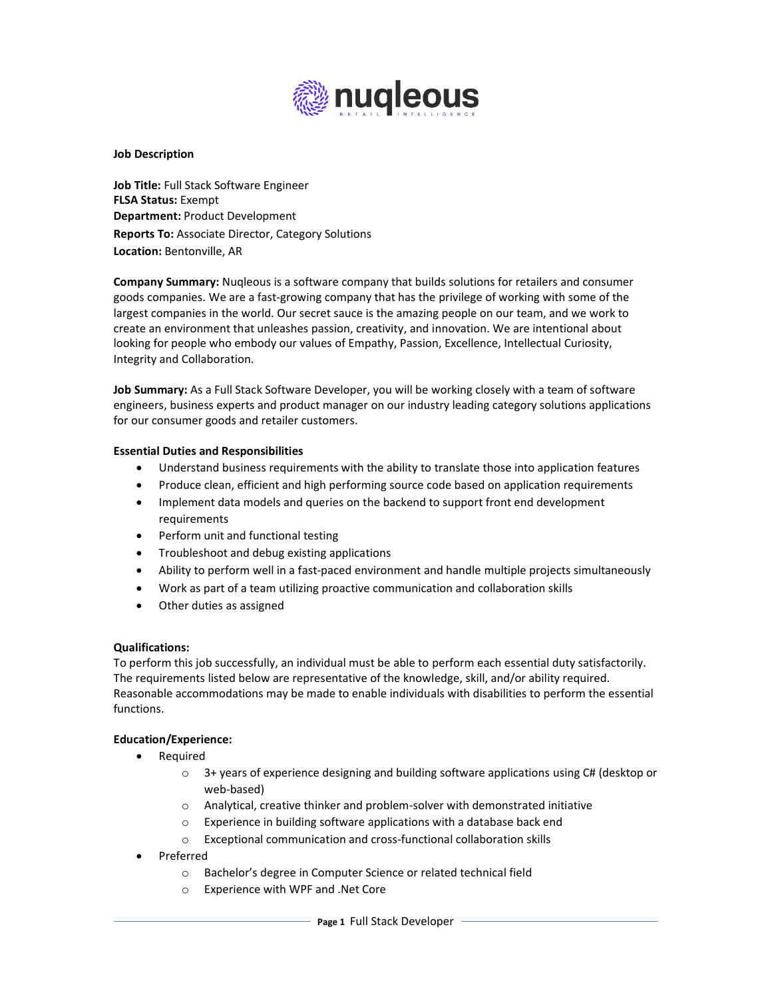

### **Job Description**

**Job Title:** Full Stack Software Engineer **FLSA Status:** Exempt **Department:** Product Development **Reports To:** Associate Director, Category Solutions **Location:** Bentonville, AR

**Company Summary:** Nuqleous is a software company that builds solutions for retailers and consumer goods companies. We are a fast-growing company that has the privilege of working with some of the largest companies in the world. Our secret sauce is the amazing people on our team, and we work to create an environment that unleashes passion, creativity, and innovation. We are intentional about looking for people who embody our values of Empathy, Passion, Excellence, Intellectual Curiosity, Integrity and Collaboration.

**Job Summary:** As a Full Stack Software Developer, you will be working closely with a team of software engineers, business experts and product manager on our industry leading category solutions applications for our consumer goods and retailer customers.

## **Essential Duties and Responsibilities**

- Understand business requirements with the ability to translate those into application features
- Produce clean, efficient and high performing source code based on application requirements
- Implement data models and queries on the backend to support front end development requirements
- Perform unit and functional testing
- Troubleshoot and debug existing applications
- Ability to perform well in a fast-paced environment and handle multiple projects simultaneously
- Work as part of a team utilizing proactive communication and collaboration skills
- Other duties as assigned

## **Qualifications:**

To perform this job successfully, an individual must be able to perform each essential duty satisfactorily. The requirements listed below are representative of the knowledge, skill, and/or ability required. Reasonable accommodations may be made to enable individuals with disabilities to perform the essential functions.

## **Education/Experience:**

- Required
	- $\circ$  3+ years of experience designing and building software applications using C# (desktop or web-based)
	- o Analytical, creative thinker and problem-solver with demonstrated initiative
	- o Experience in building software applications with a database back end
	- o Exceptional communication and cross-functional collaboration skills
- Preferred
	- o Bachelor's degree in Computer Science or related technical field
	- o Experience with WPF and .Net Core